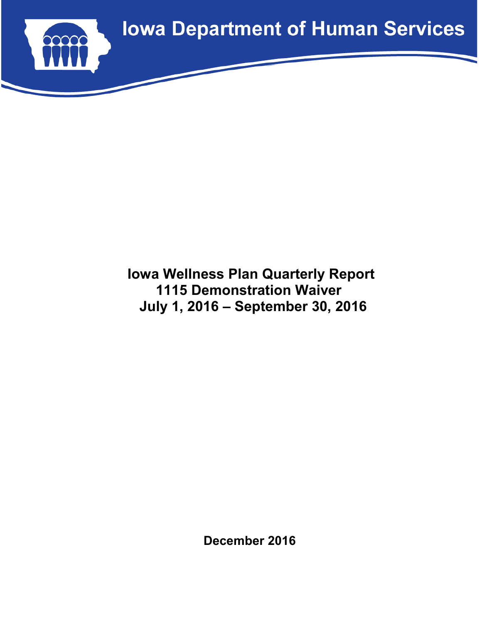

# **Iowa Wellness Plan Quarterly Report 1115 Demonstration Waiver July 1, 2016 – September 30, 2016**

**December 2016**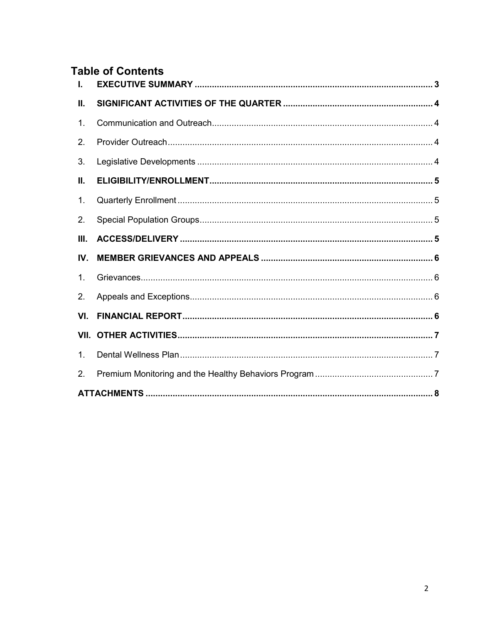# **Table of Contents**

| L.   |  |
|------|--|
| Н.   |  |
| 1.   |  |
| 2.   |  |
| 3.   |  |
| П.   |  |
| 1.   |  |
| 2.   |  |
| III. |  |
| IV.  |  |
| 1.   |  |
| 2.   |  |
| VI.  |  |
|      |  |
| 1.   |  |
| 2.   |  |
|      |  |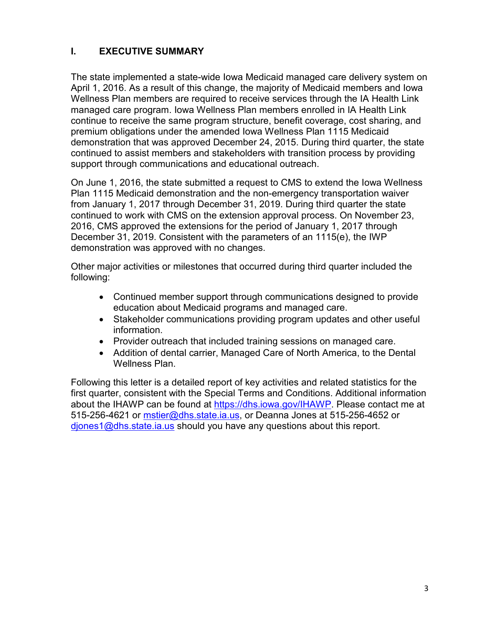## **I. EXECUTIVE SUMMARY**

The state implemented a state-wide Iowa Medicaid managed care delivery system on April 1, 2016. As a result of this change, the majority of Medicaid members and Iowa Wellness Plan members are required to receive services through the IA Health Link managed care program. Iowa Wellness Plan members enrolled in IA Health Link continue to receive the same program structure, benefit coverage, cost sharing, and premium obligations under the amended Iowa Wellness Plan 1115 Medicaid demonstration that was approved December 24, 2015. During third quarter, the state continued to assist members and stakeholders with transition process by providing support through communications and educational outreach.

On June 1, 2016, the state submitted a request to CMS to extend the Iowa Wellness Plan 1115 Medicaid demonstration and the non-emergency transportation waiver from January 1, 2017 through December 31, 2019. During third quarter the state continued to work with CMS on the extension approval process. On November 23, 2016, CMS approved the extensions for the period of January 1, 2017 through December 31, 2019. Consistent with the parameters of an 1115(e), the IWP demonstration was approved with no changes.

Other major activities or milestones that occurred during third quarter included the following:

- Continued member support through communications designed to provide education about Medicaid programs and managed care.
- Stakeholder communications providing program updates and other useful information.
- Provider outreach that included training sessions on managed care.
- Addition of dental carrier, Managed Care of North America, to the Dental Wellness Plan.

Following this letter is a detailed report of key activities and related statistics for the first quarter, consistent with the Special Terms and Conditions. Additional information about the IHAWP can be found at https://dhs.iowa.gov/IHAWP. Please contact me at 515-256-4621 or mstier@dhs.state.ia.us, or Deanna Jones at 515-256-4652 or diones1@dhs.state.ia.us should you have any questions about this report.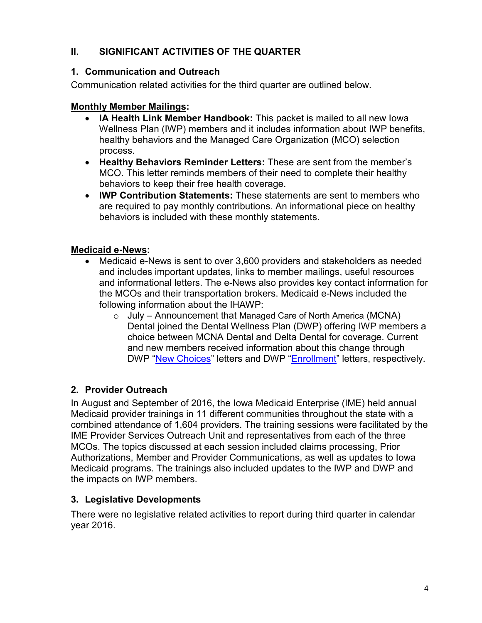## **II. SIGNIFICANT ACTIVITIES OF THE QUARTER**

## **1. Communication and Outreach**

Communication related activities for the third quarter are outlined below.

## **Monthly Member Mailings:**

- **IA Health Link Member Handbook:** This packet is mailed to all new Iowa Wellness Plan (IWP) members and it includes information about IWP benefits, healthy behaviors and the Managed Care Organization (MCO) selection process.
- **Healthy Behaviors Reminder Letters:** These are sent from the member's MCO. This letter reminds members of their need to complete their healthy behaviors to keep their free health coverage.
- **IWP Contribution Statements:** These statements are sent to members who are required to pay monthly contributions. An informational piece on healthy behaviors is included with these monthly statements.

## **Medicaid e-News:**

- Medicaid e-News is sent to over 3,600 providers and stakeholders as needed and includes important updates, links to member mailings, useful resources and informational letters. The e-News also provides key contact information for the MCOs and their transportation brokers. Medicaid e-News included the following information about the IHAWP:
	- o July Announcement that Managed Care of North America (MCNA) Dental joined the Dental Wellness Plan (DWP) offering IWP members a choice between MCNA Dental and Delta Dental for coverage. Current and new members received information about this change through DWP "New Choices" letters and DWP "Enrollment" letters, respectively.

## **2. Provider Outreach**

In August and September of 2016, the Iowa Medicaid Enterprise (IME) held annual Medicaid provider trainings in 11 different communities throughout the state with a combined attendance of 1,604 providers. The training sessions were facilitated by the IME Provider Services Outreach Unit and representatives from each of the three MCOs. The topics discussed at each session included claims processing, Prior Authorizations, Member and Provider Communications, as well as updates to Iowa Medicaid programs. The trainings also included updates to the IWP and DWP and the impacts on IWP members.

### **3. Legislative Developments**

There were no legislative related activities to report during third quarter in calendar year 2016.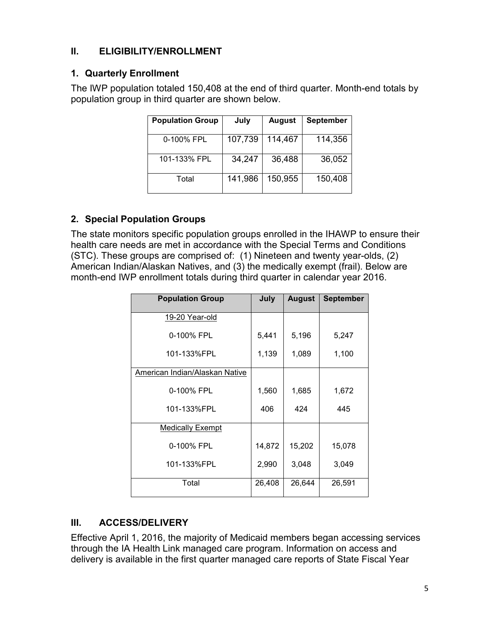## **II. ELIGIBILITY/ENROLLMENT**

## **1. Quarterly Enrollment**

The IWP population totaled 150,408 at the end of third quarter. Month-end totals by population group in third quarter are shown below.

| <b>Population Group</b> | July    | <b>August</b> | <b>September</b> |
|-------------------------|---------|---------------|------------------|
| 0-100% FPL              | 107,739 | 114,467       | 114,356          |
| 101-133% FPL            | 34,247  | 36,488        | 36,052           |
| Total                   | 141,986 | 150,955       | 150,408          |

## **2. Special Population Groups**

The state monitors specific population groups enrolled in the IHAWP to ensure their health care needs are met in accordance with the Special Terms and Conditions (STC). These groups are comprised of: (1) Nineteen and twenty year-olds, (2) American Indian/Alaskan Natives, and (3) the medically exempt (frail). Below are month-end IWP enrollment totals during third quarter in calendar year 2016.

| <b>Population Group</b>               | July   | <b>August</b> | <b>September</b> |
|---------------------------------------|--------|---------------|------------------|
| 19-20 Year-old                        |        |               |                  |
| 0-100% FPL                            | 5,441  | 5,196         | 5,247            |
| 101-133%FPL                           | 1,139  | 1,089         | 1,100            |
| <b>American Indian/Alaskan Native</b> |        |               |                  |
| 0-100% FPL                            | 1,560  | 1,685         | 1,672            |
| 101-133%FPL                           | 406    | 424           | 445              |
| <b>Medically Exempt</b>               |        |               |                  |
| 0-100% FPL                            | 14,872 | 15,202        | 15,078           |
| 101-133%FPL                           | 2,990  | 3,048         | 3,049            |
| Total                                 | 26,408 | 26,644        | 26,591           |

## **III. ACCESS/DELIVERY**

Effective April 1, 2016, the majority of Medicaid members began accessing services through the IA Health Link managed care program. Information on access and delivery is available in the first quarter managed care reports of State Fiscal Year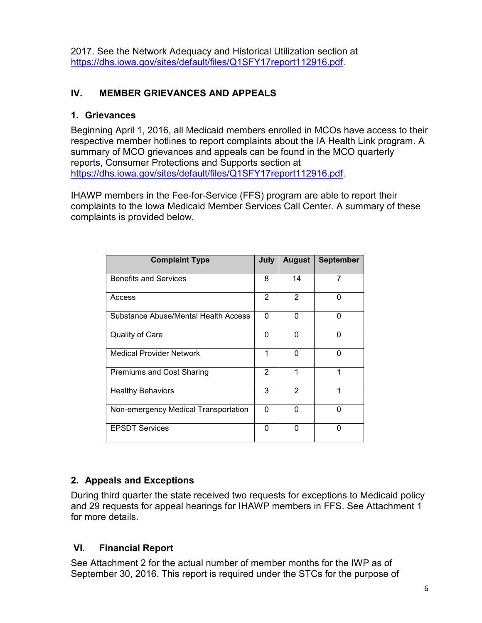2017. See the Network Adequacy and Historical Utilization section at https://dhs.iowa.gov/sites/default/files/Q1SFY17report112916.pdf.

## **IV. MEMBER GRIEVANCES AND APPEALS**

## **1. Grievances**

Beginning April 1, 2016, all Medicaid members enrolled in MCOs have access to their respective member hotlines to report complaints about the IA Health Link program. A summary of MCO grievances and appeals can be found in the MCO quarterly reports, Consumer Protections and Supports section at https://dhs.iowa.gov/sites/default/files/Q1SFY17report112916.pdf.

IHAWP members in the Fee-for-Service (FFS) program are able to report their complaints to the Iowa Medicaid Member Services Call Center. A summary of these complaints is provided below.

| <b>Complaint Type</b>                | July     | <b>August</b> | <b>September</b> |
|--------------------------------------|----------|---------------|------------------|
| <b>Benefits and Services</b>         | 8        | 14            | 7                |
| Access                               | 2        | 2             | O                |
| Substance Abuse/Mental Health Access | $\Omega$ | O             | ∩                |
| Quality of Care                      | 0        | 0             | 0                |
| Medical Provider Network             | 1        | O             | 0                |
| <b>Premiums and Cost Sharing</b>     | 2        | 1             | 1                |
| <b>Healthy Behaviors</b>             | 3        | 2             | 1                |
| Non-emergency Medical Transportation | 0        | U             | ი                |
| <b>EPSDT Services</b>                | 0        | $\Omega$      | ŋ                |

## **2. Appeals and Exceptions**

During third quarter the state received two requests for exceptions to Medicaid policy and 29 requests for appeal hearings for IHAWP members in FFS. See Attachment 1 for more details.

## **VI. Financial Report**

See Attachment 2 for the actual number of member months for the IWP as of September 30, 2016. This report is required under the STCs for the purpose of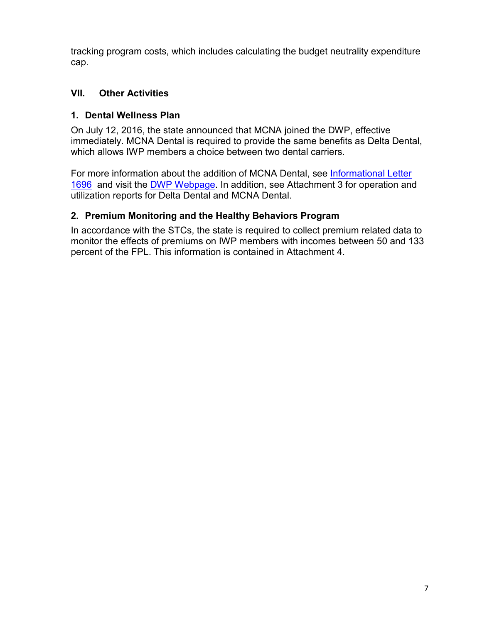tracking program costs, which includes calculating the budget neutrality expenditure cap.

## **VII. Other Activities**

## **1. Dental Wellness Plan**

On July 12, 2016, the state announced that MCNA joined the DWP, effective immediately. MCNA Dental is required to provide the same benefits as Delta Dental, which allows IWP members a choice between two dental carriers.

For more information about the addition of MCNA Dental, see Informational Letter 1696 and visit the DWP Webpage. In addition, see Attachment 3 for operation and utilization reports for Delta Dental and MCNA Dental.

## **2. Premium Monitoring and the Healthy Behaviors Program**

In accordance with the STCs, the state is required to collect premium related data to monitor the effects of premiums on IWP members with incomes between 50 and 133 percent of the FPL. This information is contained in Attachment 4.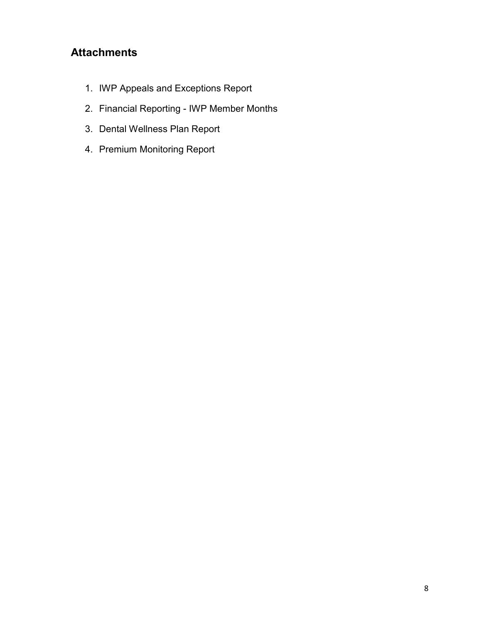# **Attachments**

- 1. IWP Appeals and Exceptions Report
- 2. Financial Reporting IWP Member Months
- 3. Dental Wellness Plan Report
- 4. Premium Monitoring Report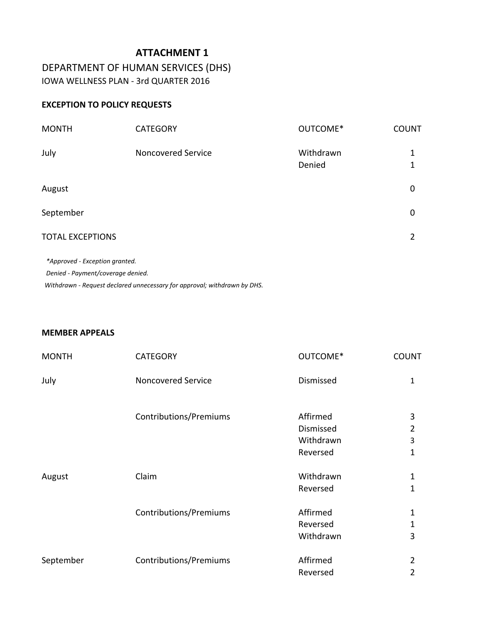DEPARTMENT OF HUMAN SERVICES (DHS) IOWA WELLNESS PLAN - 3rd QUARTER 2016

### **EXCEPTION TO POLICY REQUESTS**

| <b>MONTH</b>            | <b>CATEGORY</b>           | OUTCOME*            | <b>COUNT</b> |
|-------------------------|---------------------------|---------------------|--------------|
| July                    | <b>Noncovered Service</b> | Withdrawn<br>Denied | 1            |
| August                  |                           |                     | 0            |
| September               |                           |                     | 0            |
| <b>TOTAL EXCEPTIONS</b> |                           |                     | 2            |
|                         |                           |                     |              |

 *\*Approved - Exception granted. Denied - Payment/coverage denied. Withdrawn - Request declared unnecessary for approval; withdrawn by DHS.*

### **MEMBER APPEALS**

| <b>MONTH</b> | <b>CATEGORY</b>           | OUTCOME*  | <b>COUNT</b> |
|--------------|---------------------------|-----------|--------------|
| July         | <b>Noncovered Service</b> | Dismissed | $\mathbf{1}$ |
|              | Contributions/Premiums    | Affirmed  | 3            |
|              |                           | Dismissed | 2            |
|              |                           | Withdrawn | 3            |
|              |                           | Reversed  | 1            |
| August       | Claim                     | Withdrawn | $\mathbf{1}$ |
|              |                           | Reversed  | 1            |
|              | Contributions/Premiums    | Affirmed  | $\mathbf{1}$ |
|              |                           | Reversed  | 1            |
|              |                           | Withdrawn | 3            |
| September    | Contributions/Premiums    | Affirmed  | 2            |
|              |                           | Reversed  | 2            |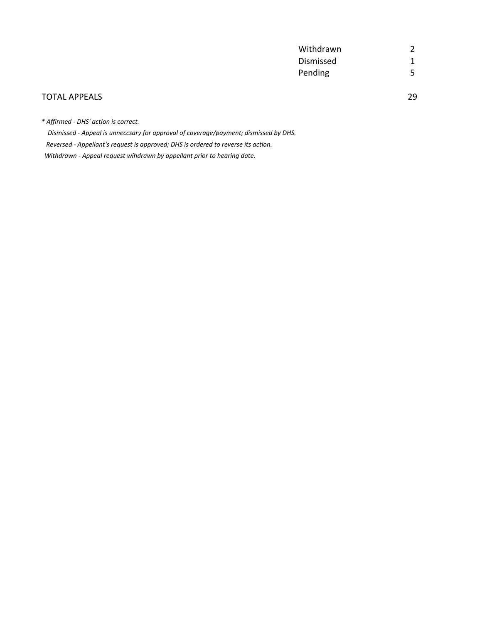| Withdrawn |   |
|-----------|---|
| Dismissed |   |
| Pending   | 5 |

### TOTAL APPEALS 29

*\* Affirmed - DHS' action is correct.*

 *Dismissed - Appeal is unneccsary for approval of coverage/payment; dismissed by DHS. Reversed - Appellant's request is approved; DHS is ordered to reverse its action. Withdrawn - Appeal request wihdrawn by appellant prior to hearing date.*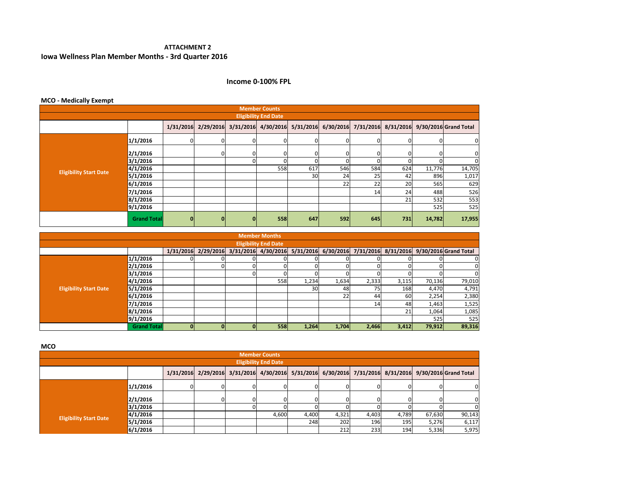#### **ATTACHMENT 2Iowa Wellness Plan Member Months - 3rd Quarter 2016**

### **Income 0-100% FPL**

| <b>MCO - Medically Exempt</b> |                    |              |              |              |                                         |     |     |     |     |        |                                                               |
|-------------------------------|--------------------|--------------|--------------|--------------|-----------------------------------------|-----|-----|-----|-----|--------|---------------------------------------------------------------|
| <b>Member Counts</b>          |                    |              |              |              |                                         |     |     |     |     |        |                                                               |
| <b>Eligibility End Date</b>   |                    |              |              |              |                                         |     |     |     |     |        |                                                               |
|                               |                    |              |              |              | 1/31/2016 2/29/2016 3/31/2016 4/30/2016 |     |     |     |     |        | 5/31/2016 6/30/2016 7/31/2016 8/31/2016 9/30/2016 Grand Total |
|                               | 1/1/2016           | ΩI           | 0            | 0            |                                         |     |     |     |     | 0      | 0                                                             |
|                               | 2/1/2016           |              | <sup>0</sup> |              |                                         |     |     |     |     | 0      | 0                                                             |
|                               | 3/1/2016           |              |              |              |                                         |     |     |     |     |        | $\overline{0}$                                                |
| <b>Eligibility Start Date</b> | 4/1/2016           |              |              |              | 558                                     | 617 | 546 | 584 | 624 | 11,776 | 14,705                                                        |
|                               | 5/1/2016           |              |              |              |                                         | 30  | 24  | 25  | 42  | 896    | 1,017                                                         |
|                               | 6/1/2016           |              |              |              |                                         |     | 22  | 22  | 20  | 565    | 629                                                           |
|                               | 7/1/2016           |              |              |              |                                         |     |     | 14  | 24  | 488    | 526                                                           |
|                               | 8/1/2016           |              |              |              |                                         |     |     |     | 21  | 532    | 553                                                           |
|                               | 9/1/2016           |              |              |              |                                         |     |     |     |     | 525    | 525                                                           |
|                               | <b>Grand Total</b> | $\mathbf{0}$ | 0            | $\mathbf{0}$ | 558                                     | 647 | 592 | 645 | 731 | 14,782 | 17,955                                                        |

| <b>Member Months</b>          |                    |    |                     |  |     |           |       |       |       |        |                                                                                   |  |
|-------------------------------|--------------------|----|---------------------|--|-----|-----------|-------|-------|-------|--------|-----------------------------------------------------------------------------------|--|
| <b>Eligibility End Date</b>   |                    |    |                     |  |     |           |       |       |       |        |                                                                                   |  |
|                               |                    |    | 1/31/2016 2/29/2016 |  |     |           |       |       |       |        | 3/31/2016 4/30/2016 5/31/2016 6/30/2016 7/31/2016 8/31/2016 9/30/2016 Grand Total |  |
|                               | 1/1/2016           |    |                     |  |     |           |       |       |       |        | O                                                                                 |  |
|                               | 2/1/2016           |    | 0                   |  |     |           |       |       |       |        |                                                                                   |  |
|                               | 3/1/2016           |    |                     |  |     |           |       |       |       |        | 0                                                                                 |  |
|                               | 4/1/2016           |    |                     |  | 558 | 1,234     | 1,634 | 2,333 | 3,115 | 70,136 | 79,010                                                                            |  |
| <b>Eligibility Start Date</b> | 5/1/2016           |    |                     |  |     | <b>30</b> | 48    | 75    | 168   | 4,470  | 4,791                                                                             |  |
|                               | 6/1/2016           |    |                     |  |     |           | 22    | 44    | 60    | 2,254  | 2,380                                                                             |  |
|                               | 7/1/2016           |    |                     |  |     |           |       | 14    | 48    | 1,463  | 1,525                                                                             |  |
|                               | 8/1/2016           |    |                     |  |     |           |       |       | 21    | 1,064  | 1,085                                                                             |  |
|                               | 9/1/2016           |    |                     |  |     |           |       |       |       | 525    | 525                                                                               |  |
|                               | <b>Grand Total</b> | OΙ |                     |  | 558 | 1,264     | 1,704 | 2,466 | 3,412 | 79,912 | 89,316                                                                            |  |

**MCO**

| ייכש                          |          |  |  |    |       |       |       |       |       |        |                                                                                                       |  |  |
|-------------------------------|----------|--|--|----|-------|-------|-------|-------|-------|--------|-------------------------------------------------------------------------------------------------------|--|--|
| <b>Member Counts</b>          |          |  |  |    |       |       |       |       |       |        |                                                                                                       |  |  |
| <b>Eligibility End Date</b>   |          |  |  |    |       |       |       |       |       |        |                                                                                                       |  |  |
|                               |          |  |  |    |       |       |       |       |       |        | 1/31/2016 2/29/2016 3/31/2016 4/30/2016 5/31/2016 6/30/2016 7/31/2016 8/31/2016 9/30/2016 Grand Total |  |  |
|                               | 1/1/2016 |  |  | 01 |       |       |       |       |       |        | $\Omega$                                                                                              |  |  |
|                               | 2/1/2016 |  |  | 01 |       |       |       | n.    |       |        | 0                                                                                                     |  |  |
|                               | 3/1/2016 |  |  |    |       |       |       |       |       |        |                                                                                                       |  |  |
|                               | 4/1/2016 |  |  |    | 4,600 | 4,400 | 4,321 | 4,403 | 4,789 | 67,630 | 90,143                                                                                                |  |  |
| <b>Eligibility Start Date</b> | 5/1/2016 |  |  |    |       | 248   | 202   | 196   | 195   | 5,276  | 6,117                                                                                                 |  |  |
|                               | 6/1/2016 |  |  |    |       |       | 212   | 233   | 194   | 5,336  | 5,975                                                                                                 |  |  |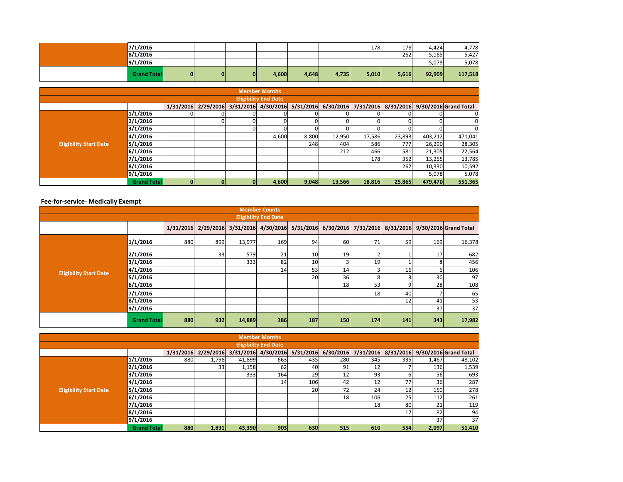| 7/1/2016            |    |    |              |       |       |       | 178   | 176   | 4.424  | 4,778   |
|---------------------|----|----|--------------|-------|-------|-------|-------|-------|--------|---------|
| 8/1/2016            |    |    |              |       |       |       |       | 262   | 5,165  | 5,427   |
| 9/1/2016            |    |    |              |       |       |       |       |       | 5,078  | 5,078   |
| <b>Grand Totall</b> | 01 | ΟI | $\mathbf{0}$ | 4,600 | 4,648 | 4,735 | 5,010 | 5,616 | 92,909 | 117,518 |

|                               | Member Months       |           |  |  |                               |       |                     |        |        |         |                                           |  |
|-------------------------------|---------------------|-----------|--|--|-------------------------------|-------|---------------------|--------|--------|---------|-------------------------------------------|--|
| <b>Eligibility End Date</b>   |                     |           |  |  |                               |       |                     |        |        |         |                                           |  |
|                               |                     | 1/31/2016 |  |  | 2/29/2016 3/31/2016 4/30/2016 |       | 5/31/2016 6/30/2016 |        |        |         | 7/31/2016 8/31/2016 9/30/2016 Grand Total |  |
|                               | 1/1/2016            |           |  |  |                               |       |                     |        |        |         | 0                                         |  |
|                               | 2/1/2016            |           |  |  |                               |       |                     |        |        |         | 0                                         |  |
|                               | 3/1/2016            |           |  |  |                               |       |                     |        |        |         | $\Omega$                                  |  |
|                               | 4/1/2016            |           |  |  | 4,600                         | 8,800 | 12,950              | 17,586 | 23,893 | 403,212 | 471,041                                   |  |
| <b>Eligibility Start Date</b> | 5/1/2016            |           |  |  |                               | 248   | 404                 | 586    | 777    | 26,290  | 28,305                                    |  |
|                               | 6/1/2016            |           |  |  |                               |       | 212                 | 466    | 581    | 21,305  | 22,564                                    |  |
|                               | 7/1/2016            |           |  |  |                               |       |                     | 178    | 352    | 13,255  | 13,785                                    |  |
|                               | 8/1/2016            |           |  |  |                               |       |                     |        | 262    | 10,330  | 10,592                                    |  |
|                               | 9/1/2016            |           |  |  |                               |       |                     |        |        | 5,078   | 5,078                                     |  |
|                               | <b>Grand Totall</b> |           |  |  | 4,600                         | 9,048 | 13,566              | 18,816 | 25,865 | 479,470 | 551,365                                   |  |

### **Fee-for-service- Medically Exempt**

|                               | <b>Member Counts</b>        |     |     |        |                 |     |     |     |     |     |                                                                                                       |  |  |  |
|-------------------------------|-----------------------------|-----|-----|--------|-----------------|-----|-----|-----|-----|-----|-------------------------------------------------------------------------------------------------------|--|--|--|
|                               | <b>Eligibility End Date</b> |     |     |        |                 |     |     |     |     |     |                                                                                                       |  |  |  |
|                               |                             |     |     |        |                 |     |     |     |     |     | 1/31/2016 2/29/2016 3/31/2016 4/30/2016 5/31/2016 6/30/2016 7/31/2016 8/31/2016 9/30/2016 Grand Total |  |  |  |
|                               | 1/1/2016                    | 880 | 899 | 13,977 | 169             | 94  | 60  | 71  | 59  | 169 | 16,378                                                                                                |  |  |  |
|                               | 2/1/2016                    |     | 33  | 579    | 21              | 10  | 19  |     |     | 17  | 682                                                                                                   |  |  |  |
|                               | 3/1/2016                    |     |     | 333    | 82              | 10  |     | 19  |     | 8   | 456                                                                                                   |  |  |  |
| <b>Eligibility Start Date</b> | 4/1/2016                    |     |     |        | 14 <sub>l</sub> | 53  | 14  |     | 16  |     | 106                                                                                                   |  |  |  |
|                               | 5/1/2016                    |     |     |        |                 | 20  | 36  |     |     | 30  | 97                                                                                                    |  |  |  |
|                               | 6/1/2016                    |     |     |        |                 |     | 18  | 53  |     | 28  | 108                                                                                                   |  |  |  |
|                               | 7/1/2016                    |     |     |        |                 |     |     | 18  | 40  |     | 65                                                                                                    |  |  |  |
|                               | 8/1/2016                    |     |     |        |                 |     |     |     | 12  | 41  | 53                                                                                                    |  |  |  |
|                               | 9/1/2016                    |     |     |        |                 |     |     |     |     | 37  | 37                                                                                                    |  |  |  |
|                               | <b>Grand Total</b>          | 880 | 932 | 14,889 | 286             | 187 | 150 | 174 | 141 | 343 | 17,982                                                                                                |  |  |  |

|                                                                                                                |                    |     |       |        | <b>Member Months</b>        |           |     |                 |     |       |        |  |  |
|----------------------------------------------------------------------------------------------------------------|--------------------|-----|-------|--------|-----------------------------|-----------|-----|-----------------|-----|-------|--------|--|--|
|                                                                                                                |                    |     |       |        | <b>Eligibility End Date</b> |           |     |                 |     |       |        |  |  |
| 3/31/2016 4/30/2016 5/31/2016 6/30/2016 7/31/2016<br>8/31/2016 9/30/2016 Grand Total<br>1/31/2016<br>2/29/2016 |                    |     |       |        |                             |           |     |                 |     |       |        |  |  |
|                                                                                                                | 1/1/2016           | 880 | 1,798 | 41,899 | 663                         | 435       | 280 | 345             | 335 | 1,467 | 48,102 |  |  |
|                                                                                                                | 2/1/2016           |     | 33    | 1,158  | 62                          | 40        | 91  | 12 <sub>1</sub> |     | 136   | 1,539  |  |  |
|                                                                                                                | 3/1/2016           |     |       | 333    | 164                         | 29        | 12  | 93              |     | 56    | 693    |  |  |
|                                                                                                                | 4/1/2016           |     |       |        | 14                          | 106       | 42  | 12              | 77  | 36    | 287    |  |  |
| <b>Eligibility Start Date</b>                                                                                  | 5/1/2016           |     |       |        |                             | <b>20</b> | 72  | 24              | 12  | 150   | 278    |  |  |
|                                                                                                                | 6/1/2016           |     |       |        |                             |           | 18  | 106             | 25  | 112   | 261    |  |  |
|                                                                                                                | 7/1/2016           |     |       |        |                             |           |     | 18 <sub>1</sub> | 80  | 21    | 119    |  |  |
|                                                                                                                | 8/1/2016           |     |       |        |                             |           |     |                 | 12  | 82    | 94     |  |  |
|                                                                                                                | 9/1/2016           |     |       |        |                             |           |     |                 |     | 37    | 37     |  |  |
|                                                                                                                | <b>Grand Total</b> | 880 | 1,831 | 43,390 | 903                         | 630       | 515 | 610             | 554 | 2,097 | 51,410 |  |  |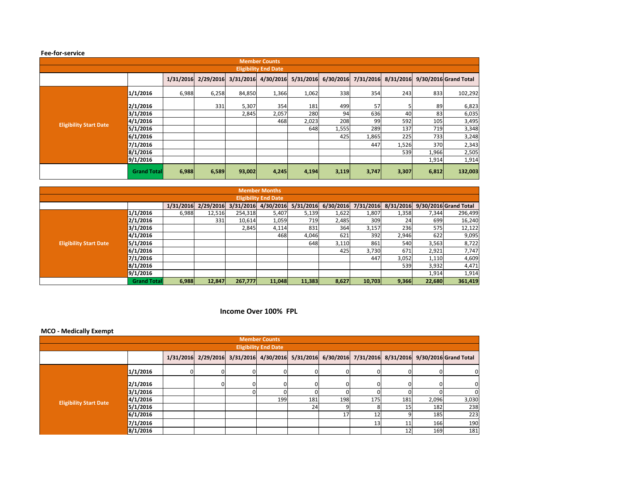#### **Fee-for-service**

|                               | <b>Member Counts</b> |           |       |                         |           |       |                               |       |           |       |                       |  |  |  |
|-------------------------------|----------------------|-----------|-------|-------------------------|-----------|-------|-------------------------------|-------|-----------|-------|-----------------------|--|--|--|
| <b>Eligibility End Date</b>   |                      |           |       |                         |           |       |                               |       |           |       |                       |  |  |  |
|                               |                      | 1/31/2016 |       | $2/29/2016$ $3/31/2016$ | 4/30/2016 |       | 5/31/2016 6/30/2016 7/31/2016 |       | 8/31/2016 |       | 9/30/2016 Grand Total |  |  |  |
|                               | 1/1/2016             | 6,988     | 6,258 | 84,850                  | 1,366     | 1,062 | 338                           | 354   | 243       | 833   | 102,292               |  |  |  |
|                               | 2/1/2016             |           | 331   | 5,307                   | 354       | 181   | 499                           | 57    |           | 89    | 6,823                 |  |  |  |
|                               | 3/1/2016             |           |       | 2,845                   | 2,057     | 280   | 94                            | 636   | 40        | 83    | 6,035                 |  |  |  |
| <b>Eligibility Start Date</b> | 4/1/2016             |           |       |                         | 468       | 2,023 | 208                           | 99    | 592       | 105   | 3,495                 |  |  |  |
|                               | 5/1/2016             |           |       |                         |           | 648   | 1,555                         | 289   | 137       | 719   | 3,348                 |  |  |  |
|                               | 6/1/2016             |           |       |                         |           |       | 425                           | 1,865 | 225       | 733   | 3,248                 |  |  |  |
|                               | 7/1/2016             |           |       |                         |           |       |                               | 447   | 1,526     | 370   | 2,343                 |  |  |  |
|                               | 8/1/2016             |           |       |                         |           |       |                               |       | 539       | 1,966 | 2,505                 |  |  |  |
|                               | 9/1/2016             |           |       |                         |           |       |                               |       |           | 1,914 | 1,914                 |  |  |  |
|                               | <b>Grand Total</b>   | 6,988     | 6,589 | 93,002                  | 4,245     | 4,194 | 3,119                         | 3,747 | 3,307     | 6,812 | 132,003               |  |  |  |

|                               |                    |           |           |           | <b>Member Months</b>        |           |           |           |           |        |                       |
|-------------------------------|--------------------|-----------|-----------|-----------|-----------------------------|-----------|-----------|-----------|-----------|--------|-----------------------|
|                               |                    |           |           |           | <b>Eligibility End Date</b> |           |           |           |           |        |                       |
|                               |                    | 1/31/2016 | 2/29/2016 | 3/31/2016 | 4/30/2016                   | 5/31/2016 | 6/30/2016 | 7/31/2016 | 8/31/2016 |        | 9/30/2016 Grand Total |
|                               | 1/1/2016           | 6.988     | 12,516    | 254,318   | 5,407                       | 5,139     | 1,622     | 1,807     | 1,358     | 7,344  | 296,499               |
|                               | 2/1/2016           |           | 331       | 10,614    | 1,059                       | 719       | 2,485     | 309       | 24        | 699    | 16,240                |
|                               | 3/1/2016           |           |           | 2,845     | 4,114                       | 831       | 364       | 3,157     | 236       | 575    | 12,122                |
|                               | 4/1/2016           |           |           |           | 468                         | 4,046     | 621       | 392       | 2,946     | 622    | 9,095                 |
| <b>Eligibility Start Date</b> | 5/1/2016           |           |           |           |                             | 648       | 3,110     | 861       | 540       | 3,563  | 8,722                 |
|                               | 6/1/2016           |           |           |           |                             |           | 425       | 3,730     | 671       | 2,921  | 7,747                 |
|                               | 7/1/2016           |           |           |           |                             |           |           | 447       | 3,052     | 1,110  | 4,609                 |
|                               | 8/1/2016           |           |           |           |                             |           |           |           | 539       | 3,932  | 4,471                 |
|                               | 9/1/2016           |           |           |           |                             |           |           |           |           | 1,914  | 1,914                 |
|                               | <b>Grand Total</b> | 6,988     | 12.847    | 267,777   | 11,048                      | 11,383    | 8,627     | 10.703    | 9,366     | 22,680 | 361,419               |

### **Income Over 100% FPL**

### **MCO - Medically Exempt**

|                               |          |           |    | <b>Member Counts</b>        |     |     |                 |     |       |                                                                                             |
|-------------------------------|----------|-----------|----|-----------------------------|-----|-----|-----------------|-----|-------|---------------------------------------------------------------------------------------------|
|                               |          |           |    | <b>Eligibility End Date</b> |     |     |                 |     |       |                                                                                             |
|                               |          | 1/31/2016 |    |                             |     |     |                 |     |       | 2/29/2016 3/31/2016 4/30/2016 5/31/2016 6/30/2016 7/31/2016 8/31/2016 9/30/2016 Grand Total |
|                               | 1/1/2016 |           |    |                             |     |     |                 |     | 0     | $\mathbf{0}$                                                                                |
|                               | 2/1/2016 |           | O. |                             |     |     |                 |     | 0     | $\overline{0}$                                                                              |
|                               | 3/1/2016 |           |    |                             |     |     |                 |     |       | 0                                                                                           |
|                               | 4/1/2016 |           |    | 199                         | 181 | 198 | 175             | 181 | 2,096 | 3,030                                                                                       |
| <b>Eligibility Start Date</b> | 5/1/2016 |           |    |                             | 24  |     |                 | 15  | 182   | 238                                                                                         |
|                               | 6/1/2016 |           |    |                             |     | 17  | 12              |     | 185   | 223                                                                                         |
|                               | 7/1/2016 |           |    |                             |     |     | 13 <sub>l</sub> |     | 166   | 190                                                                                         |
|                               | 8/1/2016 |           |    |                             |     |     |                 |     | 169   | 181                                                                                         |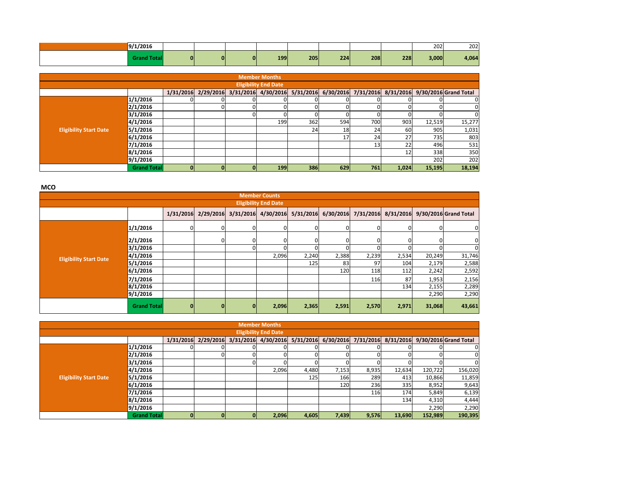| 9/1/2016 |    |    |    |     |     |     |     |     | 202   | 202   |
|----------|----|----|----|-----|-----|-----|-----|-----|-------|-------|
|          | ΩI | ΩI | 01 | 199 | 205 | 224 | 208 | 228 | 3,000 | 4,064 |

|                               |                                                                                                          |  |  |  | <b>Member Months</b>        |     |          |     |       |              |              |  |  |  |
|-------------------------------|----------------------------------------------------------------------------------------------------------|--|--|--|-----------------------------|-----|----------|-----|-------|--------------|--------------|--|--|--|
|                               |                                                                                                          |  |  |  | <b>Eligibility End Date</b> |     |          |     |       |              |              |  |  |  |
|                               | 2/29/2016 3/31/2016 4/30/2016 5/31/2016 6/30/2016 7/31/2016 8/31/2016 9/30/2016 Grand Total<br>1/31/2016 |  |  |  |                             |     |          |     |       |              |              |  |  |  |
|                               | 1/1/2016                                                                                                 |  |  |  |                             |     |          |     |       |              | $\Omega$     |  |  |  |
|                               | 2/1/2016                                                                                                 |  |  |  |                             |     | $\Omega$ |     |       |              | $\mathbf{0}$ |  |  |  |
|                               | 3/1/2016                                                                                                 |  |  |  |                             |     | $\Omega$ |     |       | <sup>0</sup> | $\Omega$     |  |  |  |
|                               | 4/1/2016                                                                                                 |  |  |  | 199                         | 362 | 594      | 700 | 903   | 12,519       | 15,277       |  |  |  |
| <b>Eligibility Start Date</b> | 5/1/2016                                                                                                 |  |  |  |                             | 24  | 18       | 24  | 60    | 905          | 1,031        |  |  |  |
|                               | 6/1/2016                                                                                                 |  |  |  |                             |     | 17       | 24  | 27    | 735          | 803          |  |  |  |
|                               | 7/1/2016                                                                                                 |  |  |  |                             |     |          | 13  | 22    | 496          | 531          |  |  |  |
|                               | 8/1/2016                                                                                                 |  |  |  |                             |     |          |     | 12    | 338          | 350          |  |  |  |
|                               | 9/1/2016                                                                                                 |  |  |  |                             |     |          |     |       | 202          | 202          |  |  |  |
|                               | <b>Grand Total</b>                                                                                       |  |  |  | <b>199</b>                  | 386 | 629      | 761 | 1,024 | 15,195       | 18,194       |  |  |  |

**MCO** 

|                               |                    |           |              |                               | <b>Member Counts</b>        |       |          |       |          |        |                                                               |
|-------------------------------|--------------------|-----------|--------------|-------------------------------|-----------------------------|-------|----------|-------|----------|--------|---------------------------------------------------------------|
|                               |                    |           |              |                               | <b>Eligibility End Date</b> |       |          |       |          |        |                                                               |
|                               |                    | 1/31/2016 |              | 2/29/2016 3/31/2016 4/30/2016 |                             |       |          |       |          |        | 5/31/2016 6/30/2016 7/31/2016 8/31/2016 9/30/2016 Grand Total |
|                               | 1/1/2016           |           | $\Omega$     |                               |                             |       | $\Omega$ |       | $\Omega$ | 0      | $\overline{0}$                                                |
|                               | 2/1/2016           |           | ΩI           |                               |                             |       |          |       | ΩI       | 0      | $\mathbf{0}$                                                  |
|                               | 3/1/2016           |           |              |                               |                             |       |          |       |          |        | $\mathbf{0}$                                                  |
| <b>Eligibility Start Date</b> | 4/1/2016           |           |              |                               | 2,096                       | 2,240 | 2,388    | 2,239 | 2,534    | 20,249 | 31,746                                                        |
|                               | 5/1/2016           |           |              |                               |                             | 125   | 83       | 97    | 104      | 2,179  | 2,588                                                         |
|                               | 6/1/2016           |           |              |                               |                             |       | 120      | 118   | 112      | 2,242  | 2,592                                                         |
|                               | 7/1/2016           |           |              |                               |                             |       |          | 116   | 87       | 1,953  | 2,156                                                         |
|                               | 8/1/2016           |           |              |                               |                             |       |          |       | 134      | 2,155  | 2,289                                                         |
|                               | 9/1/2016           |           |              |                               |                             |       |          |       |          | 2,290  | 2,290                                                         |
|                               | <b>Grand Total</b> | $\bf{0}$  | $\mathbf{0}$ | 0                             | 2,096                       | 2,365 | 2,591    | 2,570 | 2,971    | 31,068 | 43,661                                                        |

|                               |                                                                                                                         |  |  |   | <b>Member Months</b>        |       |       |       |        |         |         |  |  |  |  |
|-------------------------------|-------------------------------------------------------------------------------------------------------------------------|--|--|---|-----------------------------|-------|-------|-------|--------|---------|---------|--|--|--|--|
|                               |                                                                                                                         |  |  |   | <b>Eligibility End Date</b> |       |       |       |        |         |         |  |  |  |  |
|                               | 8/31/2016 9/30/2016 Grand Total<br>5/31/2016<br>2/29/2016<br>3/31/2016 4/30/2016<br>6/30/2016<br>7/31/2016<br>1/31/2016 |  |  |   |                             |       |       |       |        |         |         |  |  |  |  |
|                               | 1/1/2016                                                                                                                |  |  |   |                             |       |       |       |        |         | 0       |  |  |  |  |
|                               | 2/1/2016                                                                                                                |  |  |   |                             |       |       |       |        |         | 0       |  |  |  |  |
|                               | 3/1/2016                                                                                                                |  |  |   |                             |       |       |       |        |         | 0       |  |  |  |  |
|                               | 4/1/2016                                                                                                                |  |  |   | 2,096                       | 4,480 | 7,153 | 8,935 | 12,634 | 120,722 | 156,020 |  |  |  |  |
| <b>Eligibility Start Date</b> | 5/1/2016                                                                                                                |  |  |   |                             | 125   | 166   | 289   | 413    | 10,866  | 11,859  |  |  |  |  |
|                               | 6/1/2016                                                                                                                |  |  |   |                             |       | 120   | 236   | 335    | 8,952   | 9,643   |  |  |  |  |
|                               | 7/1/2016                                                                                                                |  |  |   |                             |       |       | 116   | 174    | 5,849   | 6,139   |  |  |  |  |
|                               | 8/1/2016                                                                                                                |  |  |   |                             |       |       |       | 134    | 4,310   | 4,444   |  |  |  |  |
|                               | 9/1/2016                                                                                                                |  |  |   |                             |       |       |       |        | 2,290   | 2,290   |  |  |  |  |
|                               | <b>Grand Total</b>                                                                                                      |  |  | 0 | 2,096                       | 4,605 | 7,439 | 9,576 | 13,690 | 152,989 | 190,395 |  |  |  |  |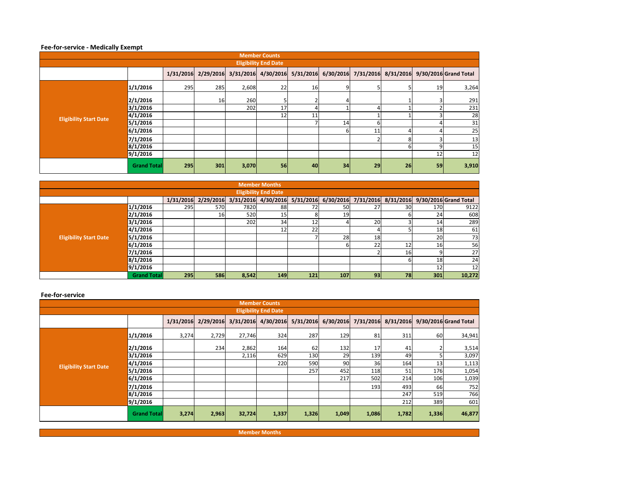### **Fee-for-service - Medically Exempt**

| <b>Member Counts</b>          |                    |     |     |       |    |    |    |    |    |    |                                                                                                       |  |  |
|-------------------------------|--------------------|-----|-----|-------|----|----|----|----|----|----|-------------------------------------------------------------------------------------------------------|--|--|
| <b>Eligibility End Date</b>   |                    |     |     |       |    |    |    |    |    |    |                                                                                                       |  |  |
|                               |                    |     |     |       |    |    |    |    |    |    | 1/31/2016 2/29/2016 3/31/2016 4/30/2016 5/31/2016 6/30/2016 7/31/2016 8/31/2016 9/30/2016 Grand Total |  |  |
|                               | 1/1/2016           | 295 | 285 | 2,608 | 22 | 16 | 9  |    |    | 19 | 3,264                                                                                                 |  |  |
|                               | 2/1/2016           |     | 16  | 260   |    |    |    |    |    | 3  | 291                                                                                                   |  |  |
|                               | 3/1/2016           |     |     | 202   | 17 |    |    |    |    | C. | 231                                                                                                   |  |  |
| <b>Eligibility Start Date</b> | 4/1/2016           |     |     |       | 12 | 11 |    |    |    | 3  | 28                                                                                                    |  |  |
|                               | 5/1/2016           |     |     |       |    |    | 14 |    |    |    | 31                                                                                                    |  |  |
|                               | 6/1/2016           |     |     |       |    |    | 6  | 11 |    | 4  | 25                                                                                                    |  |  |
|                               | 7/1/2016           |     |     |       |    |    |    |    |    |    | 13                                                                                                    |  |  |
|                               | 8/1/2016           |     |     |       |    |    |    |    |    | 9  | 15                                                                                                    |  |  |
|                               | 9/1/2016           |     |     |       |    |    |    |    |    | 12 | 12                                                                                                    |  |  |
|                               | <b>Grand Total</b> | 295 | 301 | 3,070 | 56 | 40 | 34 | 29 | 26 | 59 | 3,910                                                                                                 |  |  |

|                               |                    |            |            |       | <b>Member Months</b>        |              |     |           |    |     |                                                                                             |
|-------------------------------|--------------------|------------|------------|-------|-----------------------------|--------------|-----|-----------|----|-----|---------------------------------------------------------------------------------------------|
|                               |                    |            |            |       | <b>Eligibility End Date</b> |              |     |           |    |     |                                                                                             |
|                               |                    | 1/31/2016  |            |       |                             |              |     |           |    |     | 2/29/2016 3/31/2016 4/30/2016 5/31/2016 6/30/2016 7/31/2016 8/31/2016 9/30/2016 Grand Total |
|                               | 1/1/2016           | 295        | 570        | 7820  | 88                          | <b>72</b>    | 50  | 27        | 30 | 170 | 9122                                                                                        |
|                               | 2/1/2016           |            | <b>16</b>  | 520   | 15                          |              | 19  |           |    | 24  | 608                                                                                         |
|                               | 3/1/2016           |            |            | 202   | 34                          | $12^{\circ}$ |     | <b>20</b> |    | 14  | 289                                                                                         |
|                               | 4/1/2016           |            |            |       | 12                          | 22           |     |           |    | 18  | 61                                                                                          |
| <b>Eligibility Start Date</b> | 5/1/2016           |            |            |       |                             |              | 28  | 18        |    | 20  | 73                                                                                          |
|                               | 6/1/2016           |            |            |       |                             |              |     | 22        |    | 16  | 56                                                                                          |
|                               | 7/1/2016           |            |            |       |                             |              |     |           | 16 |     | 27                                                                                          |
|                               | 8/1/2016           |            |            |       |                             |              |     |           |    | 18  | 24                                                                                          |
|                               | 9/1/2016           |            |            |       |                             |              |     |           |    | 12  | 12                                                                                          |
|                               | <b>Grand Total</b> | <b>295</b> | <b>586</b> | 8,542 | <b>149</b>                  | 121          | 107 | 93        | 78 | 301 | 10,272                                                                                      |

#### **Fee-for-service**

| <b>Member Counts</b>          |                    |       |                                         |        |       |       |       |       |       |       |                                                               |  |  |  |
|-------------------------------|--------------------|-------|-----------------------------------------|--------|-------|-------|-------|-------|-------|-------|---------------------------------------------------------------|--|--|--|
| <b>Eligibility End Date</b>   |                    |       |                                         |        |       |       |       |       |       |       |                                                               |  |  |  |
|                               |                    |       | 1/31/2016 2/29/2016 3/31/2016 4/30/2016 |        |       |       |       |       |       |       | 5/31/2016 6/30/2016 7/31/2016 8/31/2016 9/30/2016 Grand Total |  |  |  |
|                               | 1/1/2016           | 3,274 | 2,729                                   | 27,746 | 324   | 287   | 129   | 81    | 311   | 60    | 34,941                                                        |  |  |  |
|                               | 2/1/2016           |       | 234                                     | 2,862  | 164   | 62    | 132   | 17    | 41    |       | 3,514                                                         |  |  |  |
|                               | 3/1/2016           |       |                                         | 2,116  | 629   | 130   | 29    | 139   | 49    |       | 3,097                                                         |  |  |  |
| <b>Eligibility Start Date</b> | 4/1/2016           |       |                                         |        | 220   | 590   | 90    | 36    | 164   | 13    | 1,113                                                         |  |  |  |
|                               | 5/1/2016           |       |                                         |        |       | 257   | 452   | 118   | 51    | 176   | 1,054                                                         |  |  |  |
|                               | 6/1/2016           |       |                                         |        |       |       | 217   | 502   | 214   | 106   | 1,039                                                         |  |  |  |
|                               | 7/1/2016           |       |                                         |        |       |       |       | 193   | 493   | 66    | 752                                                           |  |  |  |
|                               | 8/1/2016           |       |                                         |        |       |       |       |       | 247   | 519   | 766                                                           |  |  |  |
|                               | 9/1/2016           |       |                                         |        |       |       |       |       | 212   | 389   | 601                                                           |  |  |  |
|                               | <b>Grand Total</b> | 3,274 | 2,963                                   | 32,724 | 1,337 | 1,326 | 1,049 | 1,086 | 1,782 | 1,336 | 46,877                                                        |  |  |  |

**Member Months**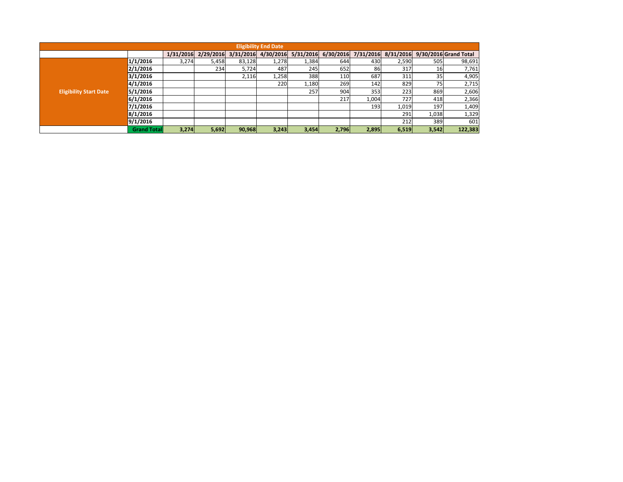| <b>Eligibility End Date</b>   |                    |           |           |           |           |           |           |           |           |       |                       |
|-------------------------------|--------------------|-----------|-----------|-----------|-----------|-----------|-----------|-----------|-----------|-------|-----------------------|
|                               |                    | 1/31/2016 | 2/29/2016 | 3/31/2016 | 4/30/2016 | 5/31/2016 | 6/30/2016 | 7/31/2016 | 8/31/2016 |       | 9/30/2016 Grand Total |
| <b>Eligibility Start Date</b> | 1/1/2016           | 3,274     | 5,458     | 83,128    | 1,278     | 1,384     | 644       | 430       | 2,590     | 505   | 98,691                |
|                               | 2/1/2016           |           | 234       | 5,724     | 487       | 245       | 652       | 86        | 317       | 16    | 7,761                 |
|                               | 3/1/2016           |           |           | 2,116     | 1,258     | 388       | 110       | 687       | 311       | 35    | 4,905                 |
|                               | 4/1/2016           |           |           |           | 220       | 1,180     | 269       | 142       | 829       | 75    | 2,715                 |
|                               | 5/1/2016           |           |           |           |           | 257       | 904       | 3531      | 223       | 869   | 2,606                 |
|                               | 6/1/2016           |           |           |           |           |           | 217       | 1,004     | 727       | 418   | 2,366                 |
|                               | 7/1/2016           |           |           |           |           |           |           | 193       | 1,019     | 197   | 1,409                 |
|                               | 8/1/2016           |           |           |           |           |           |           |           | 291       | 1,038 | 1,329                 |
|                               | 9/1/2016           |           |           |           |           |           |           |           | 212       | 389   | 601                   |
|                               | <b>Grand Total</b> | 3,274     | 5,692     | 90,968    | 3,243     | 3,454     | 2,796     | 2,895     | 6,519     | 3,542 | 122,383               |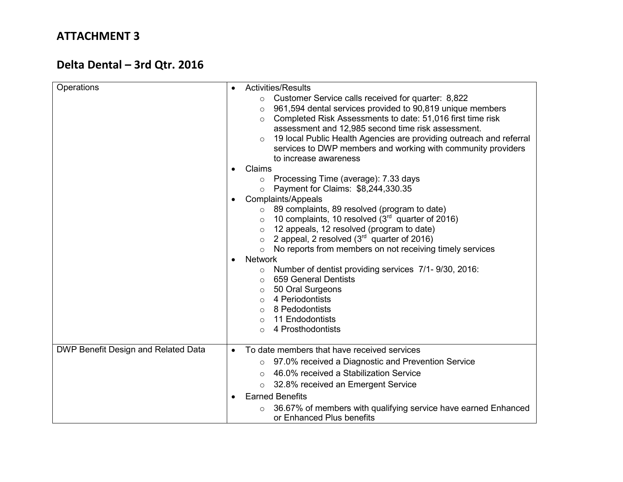# **Delta Dental – 3rd Qtr. 2016**

| Operations                          | <b>Activities/Results</b><br>Customer Service calls received for quarter: 8,822<br>$\circ$<br>961,594 dental services provided to 90,819 unique members<br>$\circ$<br>Completed Risk Assessments to date: 51,016 first time risk<br>$\circ$<br>assessment and 12,985 second time risk assessment.<br>19 local Public Health Agencies are providing outreach and referral<br>$\circ$<br>services to DWP members and working with community providers<br>to increase awareness<br>Claims                                                                                                                                                                                                                                   |
|-------------------------------------|--------------------------------------------------------------------------------------------------------------------------------------------------------------------------------------------------------------------------------------------------------------------------------------------------------------------------------------------------------------------------------------------------------------------------------------------------------------------------------------------------------------------------------------------------------------------------------------------------------------------------------------------------------------------------------------------------------------------------|
|                                     | $\circ$ Processing Time (average): 7.33 days<br>Payment for Claims: \$8,244,330.35<br>$\circ$<br><b>Complaints/Appeals</b><br>89 complaints, 89 resolved (program to date)<br>10 complaints, 10 resolved $(3rd$ quarter of 2016)<br>$\circ$<br>12 appeals, 12 resolved (program to date)<br>$\circ$<br>2 appeal, 2 resolved $(3rd$ quarter of 2016)<br>$\circ$<br>No reports from members on not receiving timely services<br>$\circ$<br><b>Network</b><br>Number of dentist providing services 7/1-9/30, 2016:<br>$\circ$<br>659 General Dentists<br>$\circ$<br>50 Oral Surgeons<br>$\circ$<br>4 Periodontists<br>$\circ$<br>8 Pedodontists<br>$\Omega$<br>11 Endodontists<br>$\Omega$<br>4 Prosthodontists<br>$\Omega$ |
| DWP Benefit Design and Related Data | To date members that have received services<br>$\bullet$<br>97.0% received a Diagnostic and Prevention Service<br>$\circ$<br>46.0% received a Stabilization Service<br>$\bigcap$<br>32.8% received an Emergent Service<br>$\circ$<br><b>Earned Benefits</b><br>36.67% of members with qualifying service have earned Enhanced<br>$\circ$<br>or Enhanced Plus benefits                                                                                                                                                                                                                                                                                                                                                    |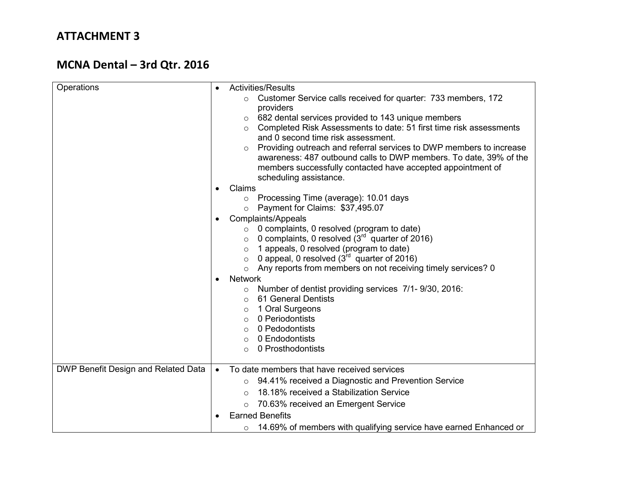# **MCNA Dental – 3rd Qtr. 2016**

| Operations                          | <b>Activities/Results</b><br>Customer Service calls received for quarter: 733 members, 172<br>$\circ$<br>providers<br>682 dental services provided to 143 unique members<br>$\circ$<br>Completed Risk Assessments to date: 51 first time risk assessments<br>$\circ$<br>and 0 second time risk assessment.<br>Providing outreach and referral services to DWP members to increase<br>awareness: 487 outbound calls to DWP members. To date, 39% of the<br>members successfully contacted have accepted appointment of<br>scheduling assistance.<br>Claims<br>○ Processing Time (average): 10.01 days<br>Payment for Claims: \$37,495.07<br>$\circ$<br>Complaints/Appeals<br>$\circ$ 0 complaints, 0 resolved (program to date)<br>0 complaints, 0 resolved $(3rd$ quarter of 2016)<br>$\circ$<br>1 appeals, 0 resolved (program to date)<br>$\circ$<br>0 appeal, 0 resolved $(3^{rd}$ quarter of 2016)<br>$\circ$<br>Any reports from members on not receiving timely services? 0<br>$\circ$<br><b>Network</b><br>$\bullet$<br>Number of dentist providing services 7/1-9/30, 2016:<br>$\circ$<br>61 General Dentists<br>$\circ$<br>1 Oral Surgeons<br>$\circ$<br>0 Periodontists<br>$\circ$<br>0 Pedodontists<br>$\circ$<br>0 Endodontists<br>$\circ$<br>0 Prosthodontists<br>$\circ$ |
|-------------------------------------|----------------------------------------------------------------------------------------------------------------------------------------------------------------------------------------------------------------------------------------------------------------------------------------------------------------------------------------------------------------------------------------------------------------------------------------------------------------------------------------------------------------------------------------------------------------------------------------------------------------------------------------------------------------------------------------------------------------------------------------------------------------------------------------------------------------------------------------------------------------------------------------------------------------------------------------------------------------------------------------------------------------------------------------------------------------------------------------------------------------------------------------------------------------------------------------------------------------------------------------------------------------------------------------|
|                                     |                                                                                                                                                                                                                                                                                                                                                                                                                                                                                                                                                                                                                                                                                                                                                                                                                                                                                                                                                                                                                                                                                                                                                                                                                                                                                        |
| DWP Benefit Design and Related Data | To date members that have received services<br>$\bullet$<br>94.41% received a Diagnostic and Prevention Service                                                                                                                                                                                                                                                                                                                                                                                                                                                                                                                                                                                                                                                                                                                                                                                                                                                                                                                                                                                                                                                                                                                                                                        |
|                                     | $\circ$                                                                                                                                                                                                                                                                                                                                                                                                                                                                                                                                                                                                                                                                                                                                                                                                                                                                                                                                                                                                                                                                                                                                                                                                                                                                                |
|                                     | 18.18% received a Stabilization Service<br>$\circ$                                                                                                                                                                                                                                                                                                                                                                                                                                                                                                                                                                                                                                                                                                                                                                                                                                                                                                                                                                                                                                                                                                                                                                                                                                     |
|                                     | 70.63% received an Emergent Service<br>$\circ$                                                                                                                                                                                                                                                                                                                                                                                                                                                                                                                                                                                                                                                                                                                                                                                                                                                                                                                                                                                                                                                                                                                                                                                                                                         |
|                                     | <b>Earned Benefits</b>                                                                                                                                                                                                                                                                                                                                                                                                                                                                                                                                                                                                                                                                                                                                                                                                                                                                                                                                                                                                                                                                                                                                                                                                                                                                 |
|                                     | 14.69% of members with qualifying service have earned Enhanced or<br>$\circ$                                                                                                                                                                                                                                                                                                                                                                                                                                                                                                                                                                                                                                                                                                                                                                                                                                                                                                                                                                                                                                                                                                                                                                                                           |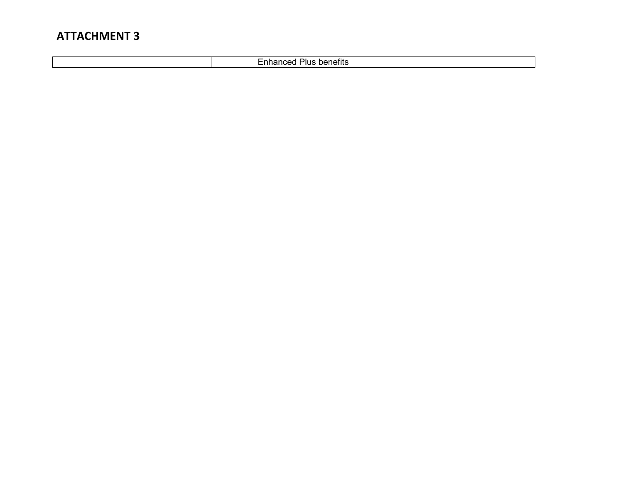Enhanced Plus benefits